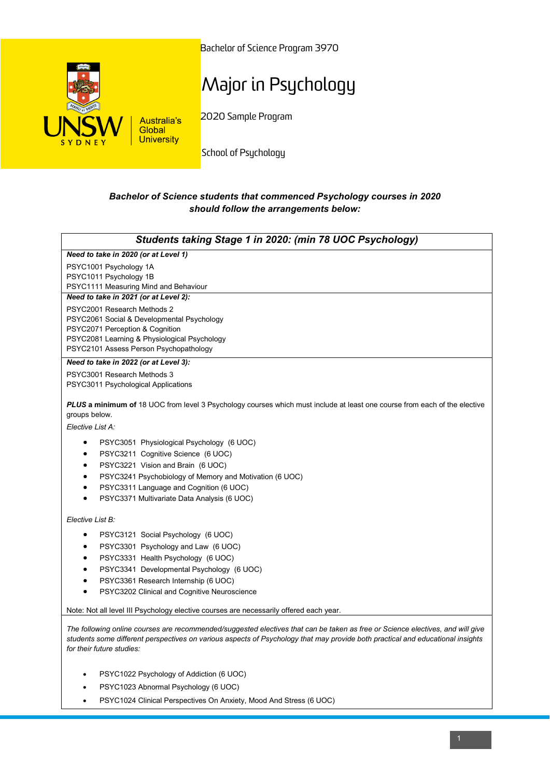

Bachelor of Science Program 3970

## Major in Psychology

2020 Sample Program

School of Psychology

## *Bachelor of Science students that commenced Psychology courses in 2020 should follow the arrangements below:*

| Students taking Stage 1 in 2020: (min 78 UOC Psychology)                                                                                                                                                                                                                                                                                                                                                             |
|----------------------------------------------------------------------------------------------------------------------------------------------------------------------------------------------------------------------------------------------------------------------------------------------------------------------------------------------------------------------------------------------------------------------|
| Need to take in 2020 (or at Level 1)                                                                                                                                                                                                                                                                                                                                                                                 |
| PSYC1001 Psychology 1A<br>PSYC1011 Psychology 1B<br>PSYC1111 Measuring Mind and Behaviour                                                                                                                                                                                                                                                                                                                            |
| Need to take in 2021 (or at Level 2):                                                                                                                                                                                                                                                                                                                                                                                |
| PSYC2001 Research Methods 2<br>PSYC2061 Social & Developmental Psychology<br>PSYC2071 Perception & Cognition<br>PSYC2081 Learning & Physiological Psychology<br>PSYC2101 Assess Person Psychopathology                                                                                                                                                                                                               |
| Need to take in 2022 (or at Level 3):                                                                                                                                                                                                                                                                                                                                                                                |
| PSYC3001 Research Methods 3<br>PSYC3011 Psychological Applications                                                                                                                                                                                                                                                                                                                                                   |
| PLUS a minimum of 18 UOC from level 3 Psychology courses which must include at least one course from each of the elective<br>groups below.<br>Elective List A:                                                                                                                                                                                                                                                       |
| PSYC3051 Physiological Psychology (6 UOC)<br>$\bullet$<br>PSYC3211 Cognitive Science (6 UOC)<br>$\bullet$<br>PSYC3221 Vision and Brain (6 UOC)<br>٠<br>PSYC3241 Psychobiology of Memory and Motivation (6 UOC)<br>$\bullet$<br>PSYC3311 Language and Cognition (6 UOC)<br>$\bullet$<br>PSYC3371 Multivariate Data Analysis (6 UOC)                                                                                   |
| Elective List B:                                                                                                                                                                                                                                                                                                                                                                                                     |
| PSYC3121 Social Psychology (6 UOC)<br>$\bullet$<br>PSYC3301 Psychology and Law (6 UOC)<br>٠<br>PSYC3331 Health Psychology (6 UOC)<br>$\bullet$<br>PSYC3341 Developmental Psychology (6 UOC)<br>$\bullet$<br>PSYC3361 Research Internship (6 UOC)<br>$\bullet$<br>PSYC3202 Clinical and Cognitive Neuroscience<br>$\bullet$<br>Note: Not all level III Psychology elective courses are necessarily offered each year. |
| The following online courses are recommended/suggested electives that can be taken as free or Science electives, and will give<br>all the contract of the contract of the contract of the contract of the contract of the contract of the contract of the state                                                                                                                                                      |

*students some different perspectives on various aspects of Psychology that may provide both practical and educational insights for their future studies:*

- PSYC1022 Psychology of Addiction (6 UOC)
- PSYC1023 Abnormal Psychology (6 UOC)
- PSYC1024 Clinical Perspectives On Anxiety, Mood And Stress (6 UOC)